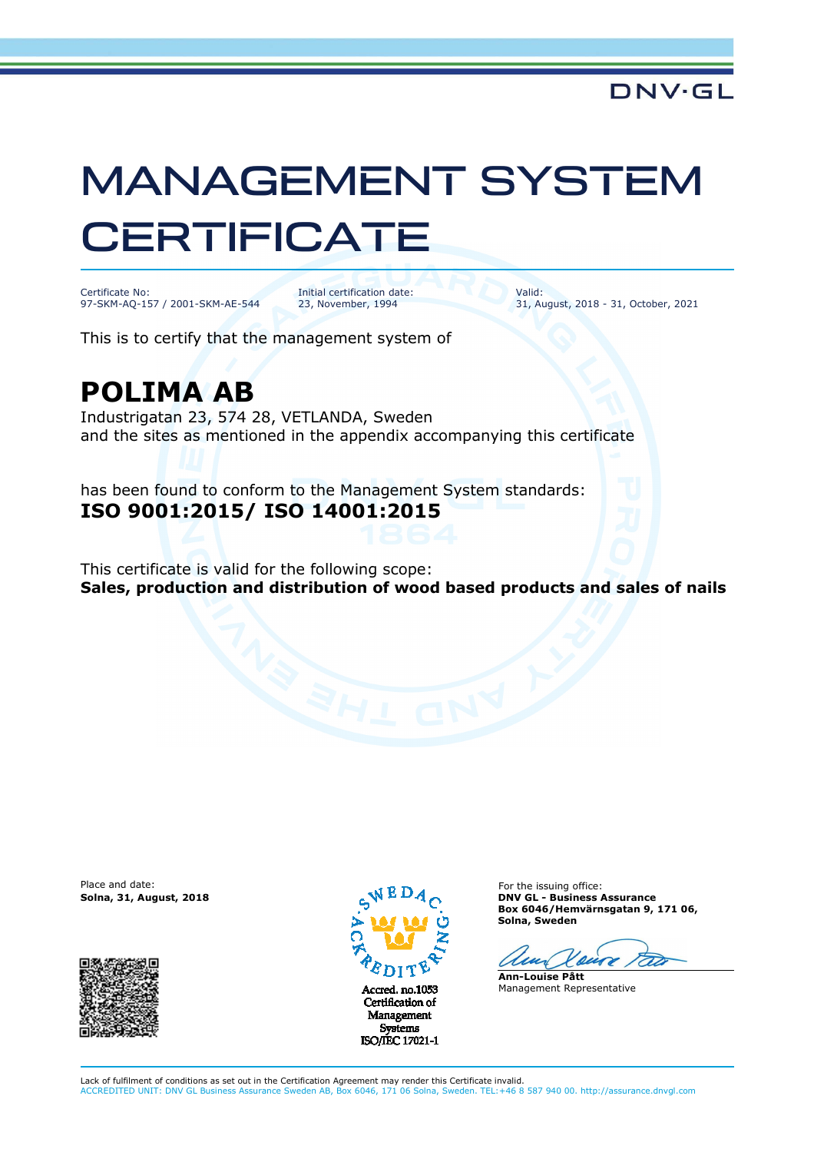## MANAGEMENT SYSTEM **CERTIFICATE**

Certificate No: 97-SKM-AQ-157 / 2001-SKM-AE-544 Initial certification date: 23, November, 1994

Valid: 31, August, 2018 - 31, October, 2021

This is to certify that the management system of

## **POLIMA AB**

Industrigatan 23, 574 28, VETLANDA, Sweden and the sites as mentioned in the appendix accompanying this certificate

has been found to conform to the Management System standards: **ISO 9001:2015/ ISO 14001:2015**

This certificate is valid for the following scope: **Sales, production and distribution of wood based products and sales of nails**

Place and date:





Certification of Management **Systems** ISO/IEC 17021-1

For the issuing office: **Solna, 31, August, 2018 DNV GL - Business Assurance Box 6046/Hemvärnsgatan 9, 171 06, Solna, Sweden** 

 $\mathcal{L}$ 

**Ann-Louise Pått** Management Representative

Lack of fulfilment of conditions as set out in the Certification Agreement may render this Certificate invalid. ACCREDITED UNIT: DNV GL Business Assurance Sweden AB, Box 6046, 171 06 Solna, Sweden. TEL:+46 8 587 940 00. http://assurance.dnvgl.com